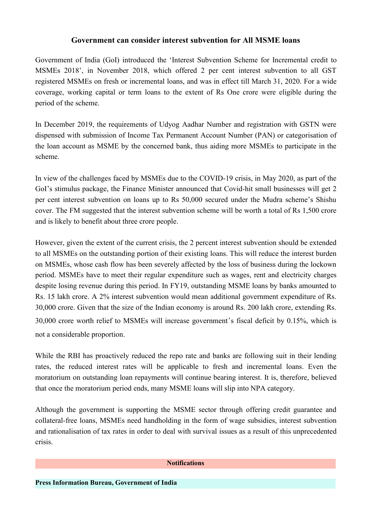## **Government can consider interest subvention for All MSME loans**

Government of India (GoI) introduced the 'Interest Subvention Scheme for Incremental credit to MSMEs 2018', in November 2018, which offered 2 per cent interest subvention to all GST registered MSMEs on fresh or incremental loans, and was in effect till March 31, 2020. For a wide coverage, working capital or term loans to the extent of Rs One crore were eligible during the period of the scheme.

In December 2019, the requirements of Udyog Aadhar Number and registration with GSTN were dispensed with submission of Income Tax Permanent Account Number (PAN) or categorisation of the loan account as MSME by the concerned bank, thus aiding more MSMEs to participate in the scheme.

In view of the challenges faced by MSMEs due to the COVID-19 crisis, in May 2020, as part of the GoI's stimulus package, the Finance Minister announced that Covid-hit small businesses will get 2 per cent interest subvention on loans up to Rs 50,000 secured under the Mudra scheme's Shishu cover. The FM suggested that the interest subvention scheme will be worth a total of Rs 1,500 crore and is likely to benefit about three crore people.

However, given the extent of the current crisis, the 2 percent interest subvention should be extended to all MSMEs on the outstanding portion of their existing loans. This will reduce the interest burden on MSMEs, whose cash flow has been severely affected by the loss of business during the lockown period. MSMEs have to meet their regular expenditure such as wages, rent and electricity charges despite losing revenue during this period. In FY19, outstanding MSME loans by banks amounted to Rs. <sup>15</sup> lakh crore. <sup>A</sup> 2% interest subvention would mean additional government expenditure of Rs.30,000 crore. Given that the size of the Indian economy is around Rs. <sup>200</sup> lakh crore, extending Rs. 30,000 crore worth relief to MSMEs will increase government's fiscal deficit by 0.15%, which is not a considerable proportion.

While the RBI has proactively reduced the repo rate and banks are following suit in their lending rates, the reduced interest rates will be applicable to fresh and incremental loans. Even the moratorium on outstanding loan repayments will continue bearing interest. It is, therefore, believed that once the moratorium period ends, many MSME loans will slip into NPA category.

Although the government is supporting the MSME sector through offering credit guarantee and collateral-free loans, MSMEs need handholding in the form of wage subsidies, interest subvention and rationalisation of tax rates in order to deal with survival issues as a result of this unprecedented crisis.

## **Notifications**

**Press Information Bureau, Government of India**